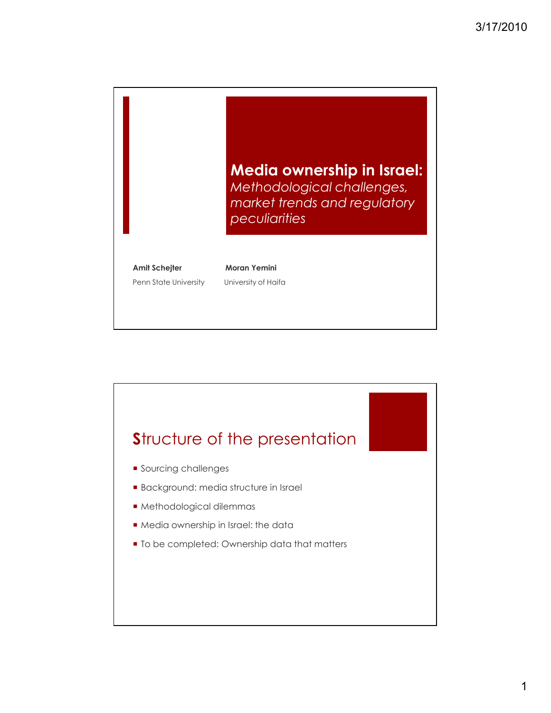

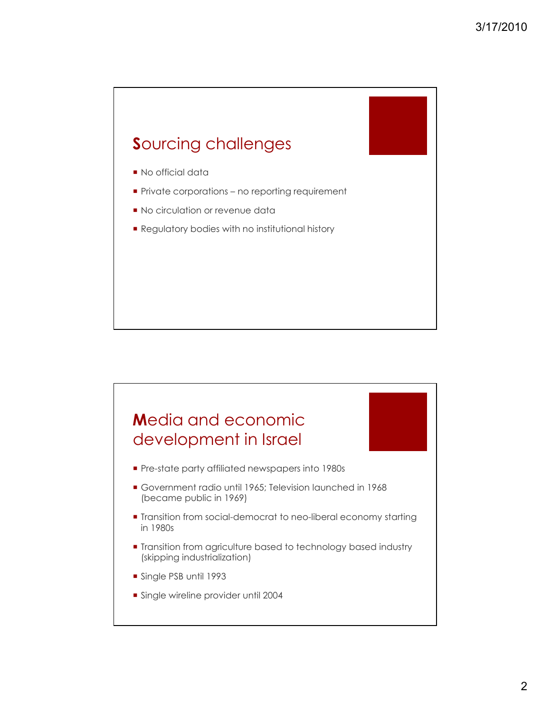

- **No official data**
- **Private corporations no reporting requirement**
- No circulation or revenue data
- **Regulatory bodies with no institutional history**

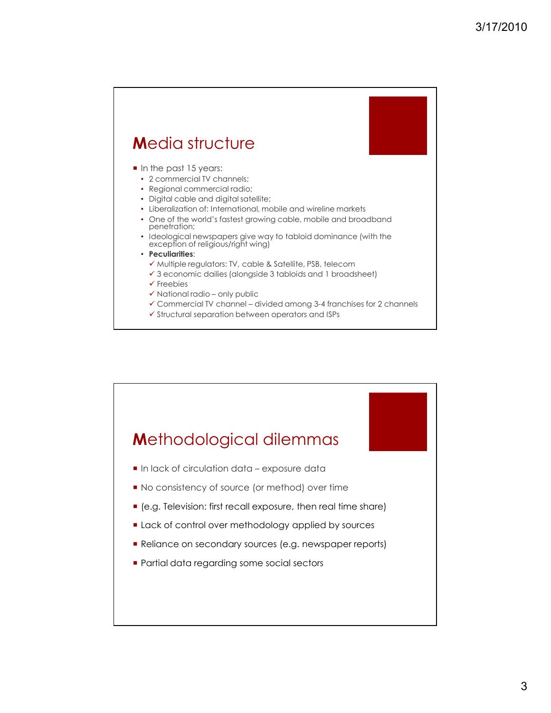## **M**edia structure

- In the past 15 years:
	- 2 commercial TV channels;
	- Regional commercial radio;
	- Digital cable and digital satellite;
	- Liberalization of: International, mobile and wireline markets
	- One of the world's fastest growing cable, mobile and broadband penetration;
	- Ideological newspapers give way to tabloid dominance (with the exception of religious/right wing)
	- **Peculiarities**:
		- $\checkmark$  Multiple regulators: TV, cable & Satellite, PSB, telecom
		- 3 economic dailies (alongside 3 tabloids and 1 broadsheet)
		- $\checkmark$  Freebies
		- $\checkmark$  National radio only public
		- Commercial TV channel divided among 3-4 franchises for 2 channels
		- $\checkmark$  Structural separation between operators and ISPs

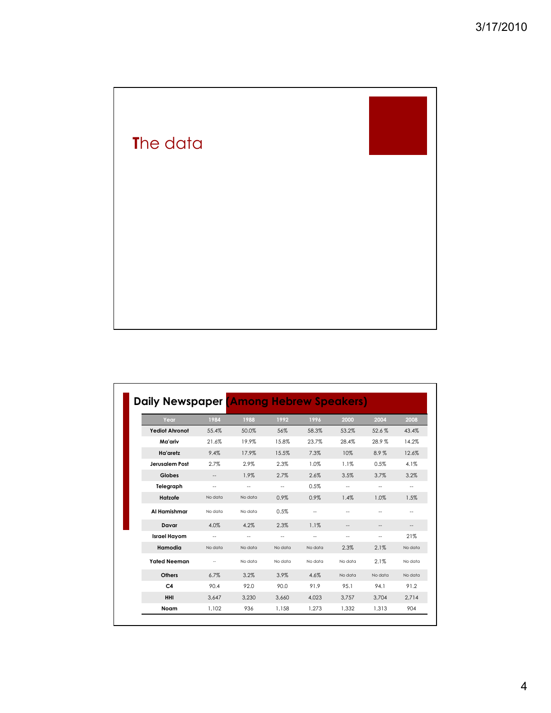

| Year                  | 1984              | 1988                     | 1992                     | 1996                     | 2000                     | 2004    | 2008    |
|-----------------------|-------------------|--------------------------|--------------------------|--------------------------|--------------------------|---------|---------|
| <b>Yediot Ahronot</b> | 55.4%             | 50.0%                    | 56%                      | 58.3%                    | 53.2%                    | 52.6%   | 43.4%   |
| Ma'ariv               | 21.6%             | 19.9%                    | 15.8%                    | 23.7%                    | 28.4%                    | 28.9%   | 14.2%   |
| Ha'aretz              | 9.4%              | 17.9%                    | 15.5%                    | 7.3%                     | 10%                      | 8.9%    | 12.6%   |
| Jerusalem Post        | 2.7%              | 2.9%                     | 2.3%                     | 1.0%                     | 1.1%                     | 0.5%    | 4.1%    |
| <b>Globes</b>         | --                | 1.9%                     | 2.7%                     | 2.6%                     | 3.5%                     | 3.7%    | 3.2%    |
| Telegraph             | $\qquad \qquad -$ | $\overline{\phantom{a}}$ | $\overline{\phantom{a}}$ | 0.5%                     | $\overline{\phantom{a}}$ | $ -$    | --      |
| Hatzofe               | No data           | No data                  | 0.9%                     | 0.9%                     | 1.4%                     | 1.0%    | 1.5%    |
| Al Hamishmar          | No data           | No data                  | 0.5%                     |                          |                          |         | --      |
| Davar                 | 4.0%              | 4.2%                     | 2.3%                     | 1.1%                     | --                       | --      | --      |
| <b>Israel Hayom</b>   | $\overline{a}$    | --                       | $\overline{\phantom{a}}$ | $\overline{\phantom{a}}$ | $\overline{\phantom{a}}$ | $ -$    | 21%     |
| Hamodia               | No data           | No data                  | No data                  | No data                  | 2.3%                     | 2.1%    | No data |
| <b>Yated Neeman</b>   |                   | No data                  | No data                  | No data                  | No data                  | 2.1%    | No data |
| <b>Others</b>         | 6.7%              | 3.2%                     | 3.9%                     | 4.6%                     | No data                  | No data | No data |
| C <sub>4</sub>        | 90.4              | 92.0                     | 90.0                     | 91.9                     | 95.1                     | 94.1    | 91.2    |
| HHI                   | 3.647             | 3.230                    | 3.660                    | 4.023                    | 3.757                    | 3,704   | 2.714   |
| Noam                  | 1.102             | 936                      | 1,158                    | 1.273                    | 1.332                    | 1.313   | 904     |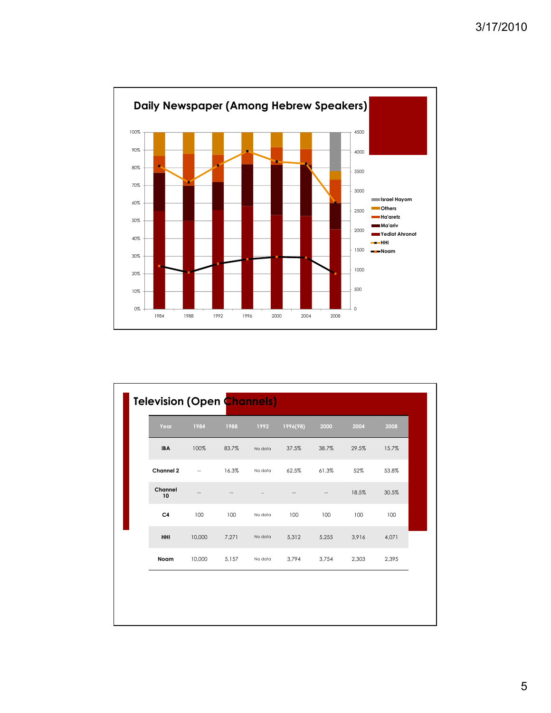

| Year           | 1984              | 1988  | 1992    | 1996(98) | 2000  | 2004  | 2008  |
|----------------|-------------------|-------|---------|----------|-------|-------|-------|
| <b>IBA</b>     | 100%              | 83.7% | No data | 37.5%    | 38.7% | 29.5% | 15.7% |
| Channel 2      | $\qquad \qquad -$ | 16.3% | No data | 62.5%    | 61.3% | 52%   | 53.8% |
| Channel<br>10  | --                | --    | --      | --       | --    | 18.5% | 30.5% |
| C <sub>4</sub> | 100               | 100   | No data | 100      | 100   | 100   | 100   |
| HHI            | 10,000            | 7,271 | No data | 5,312    | 5,255 | 3,916 | 4,071 |
| Noam           | 10,000            | 5,157 | No data | 3,794    | 3,754 | 2,303 | 2,395 |

5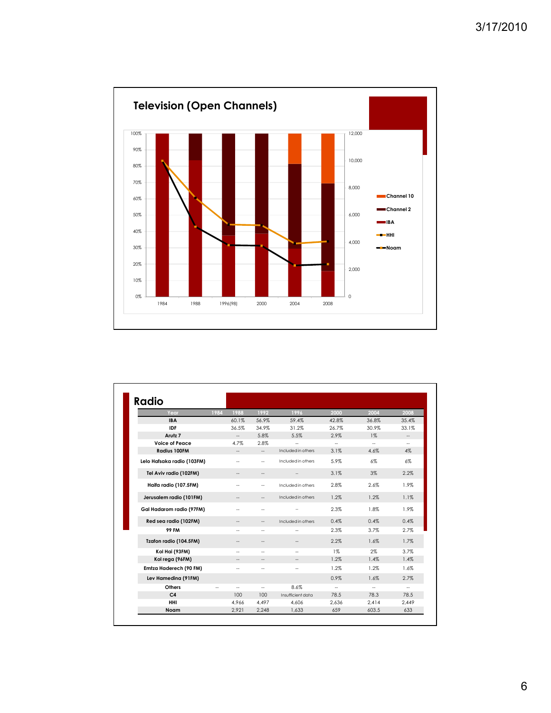

| Radio                      |      |                          |                          |                          |                          |                |                          |
|----------------------------|------|--------------------------|--------------------------|--------------------------|--------------------------|----------------|--------------------------|
| Year                       | 1984 | 1988                     | 1992                     | 1996                     | 2000                     | 2004           | 2008                     |
| <b>IBA</b>                 |      | 60.1%                    | 56.9%                    | 59.4%                    | 42.8%                    | 36.8%          | 35.4%                    |
| <b>IDF</b>                 |      | 36.5%                    | 34.9%                    | 31.2%                    | 26.7%                    | 30.9%          | 33.1%                    |
| Arutz <sub>7</sub>         |      | $\sim$                   | 5.8%                     | 5.5%                     | 2.9%                     | $1\%$          |                          |
| Voice of Peace             |      | 4.7%                     | 2.8%                     | $\overline{\phantom{a}}$ | $\sim$                   | $\overline{a}$ | $\overline{\phantom{a}}$ |
| Radius 100FM               |      | $\overline{\phantom{a}}$ | $\overline{\phantom{a}}$ | Included in others       | 3.1%                     | 4.6%           | 4%                       |
| Lelo Hafsaka radio (103FM) |      |                          | $\overline{\phantom{a}}$ | Included in others       | 5.9%                     | 6%             | $6\%$                    |
| Tel Aviv radio (102FM)     |      |                          | --                       |                          | 3.1%                     | 3%             | 2.2%                     |
| Haifa radio (107.5FM)      |      |                          | $\sim$                   | Included in others       | 2.8%                     | 2.6%           | 1.9%                     |
| Jerusalem radio (101FM)    |      |                          | $\hspace{0.05cm} -$      | Included in others       | 1.2%                     | 1.2%           | 1.1%                     |
| Gal Hadarom radio (97FM)   |      |                          | ٠.                       |                          | 2.3%                     | 1.8%           | 1.9%                     |
| Red sea radio (102FM)      |      |                          | $\overline{\phantom{a}}$ | Included in others       | 0.4%                     | 0.4%           | 0.4%                     |
| <b>99 FM</b>               |      | --                       | $\sim$                   | $\overline{\phantom{a}}$ | 2.3%                     | 3.7%           | 2.7%                     |
| Tzafon radio (104.5FM)     |      |                          |                          |                          | 2.2%                     | 1.6%           | 1.7%                     |
| Kol Hai (93FM)             |      | --                       | ÷.                       |                          | $1\%$                    | $2\%$          | 3.7%                     |
| Kol rega (96FM)            |      |                          |                          |                          | 1.2%                     | 1.4%           | 1.4%                     |
| Emtza Haderech (90 FM)     |      | --                       | ÷.                       | $\sim$                   | 1.2%                     | 1.2%           | 1.6%                     |
| Lev Hamedina (91FM)        |      |                          |                          |                          | 0.9%                     | 1.6%           | 2.7%                     |
| Others                     |      | --                       | $\overline{\phantom{a}}$ | 8.6%                     | $\overline{\phantom{a}}$ | ۰.             | $\overline{\phantom{a}}$ |
| C <sub>4</sub>             |      | 100                      | 100                      | Insufficient data        | 78.5                     | 78.3           | 78.5                     |
| HHI                        |      | 4,966                    | 4.497                    | 4.606                    | 2.636                    | 2.414          | 2,449                    |
| Noam                       |      | 2,921                    | 2,248                    | 1.633                    | 659                      | 603.5          | 633                      |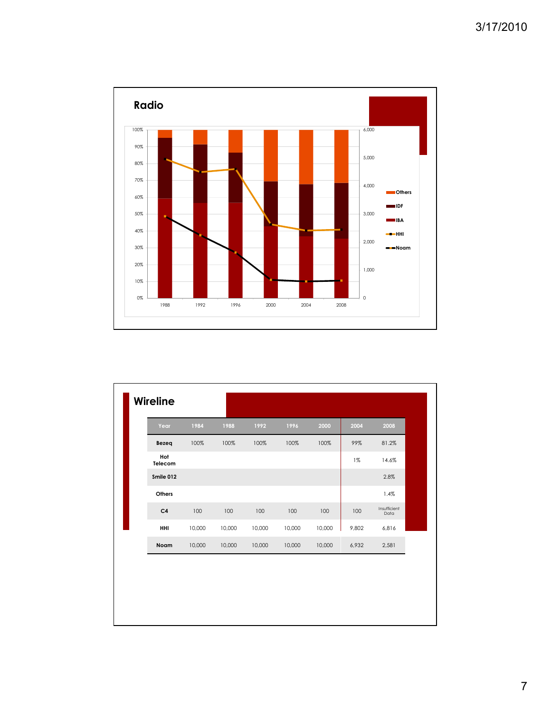

| Year           | 1984   | 1988   | 1992   | 1996   | 2000   | 2004  | 2008                 |
|----------------|--------|--------|--------|--------|--------|-------|----------------------|
| Bezeq          | 100%   | 100%   | 100%   | 100%   | 100%   | 99%   | 81.2%                |
| Hot<br>Telecom |        |        |        |        |        | $1\%$ | 14.6%                |
| Smile 012      |        |        |        |        |        |       | 2.8%                 |
| Others         |        |        |        |        |        |       | 1.4%                 |
| C <sub>4</sub> | 100    | 100    | 100    | 100    | 100    | 100   | Insufficient<br>Data |
| HHI            | 10,000 | 10,000 | 10,000 | 10,000 | 10,000 | 9,802 | 6,816                |
| Noam           | 10,000 | 10,000 | 10,000 | 10,000 | 10,000 | 6,932 | 2,581                |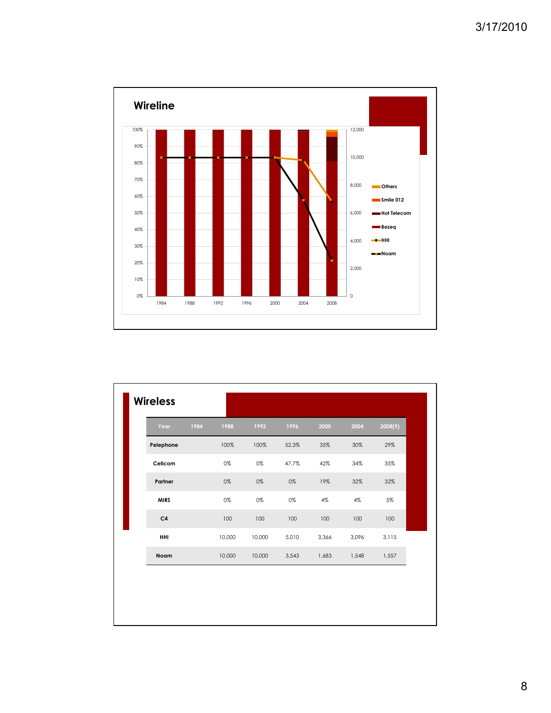

| <b>Wireless</b> |      |        |        |       |       |       |         |
|-----------------|------|--------|--------|-------|-------|-------|---------|
| Year            | 1984 | 1988   | 1992   | 1996  | 2000  | 2004  | 2008(9) |
| Pelephone       |      | 100%   | 100%   | 52.3% | 35%   | 30%   | 29%     |
| Cellcom         |      | 0%     | 0%     | 47.7% | 42%   | 34%   | 35%     |
| Partner         |      | 0%     | 0%     | 0%    | 19%   | 32%   | 32%     |
| <b>MIRS</b>     |      | 0%     | 0%     | 0%    | 4%    | 4%    | 5%      |
| C <sub>4</sub>  |      | 100    | 100    | 100   | 100   | 100   | 100     |
| HHI             |      | 10,000 | 10,000 | 5,010 | 3,366 | 3,096 | 3,115   |
| Noam            |      | 10,000 | 10,000 | 3,543 | 1,683 | 1,548 | 1,557   |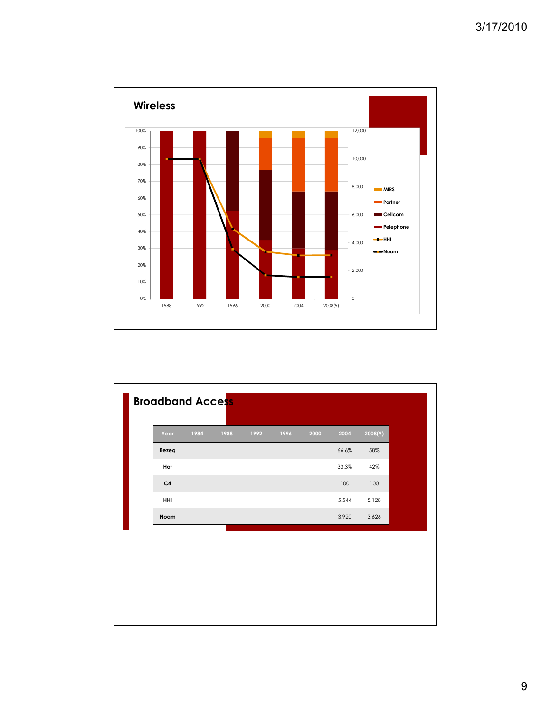

|                | 1984 | 1988 | 1992 | 1996 | 2000 | 2004  | 2008(9) |
|----------------|------|------|------|------|------|-------|---------|
| Bezeq          |      |      |      |      |      | 66.6% | 58%     |
| Hot            |      |      |      |      |      | 33.3% | 42%     |
| C <sub>4</sub> |      |      |      |      |      | 100   | 100     |
| HHI            |      |      |      |      |      | 5,544 | 5,128   |
| Noam           |      |      |      |      |      | 3,920 | 3,626   |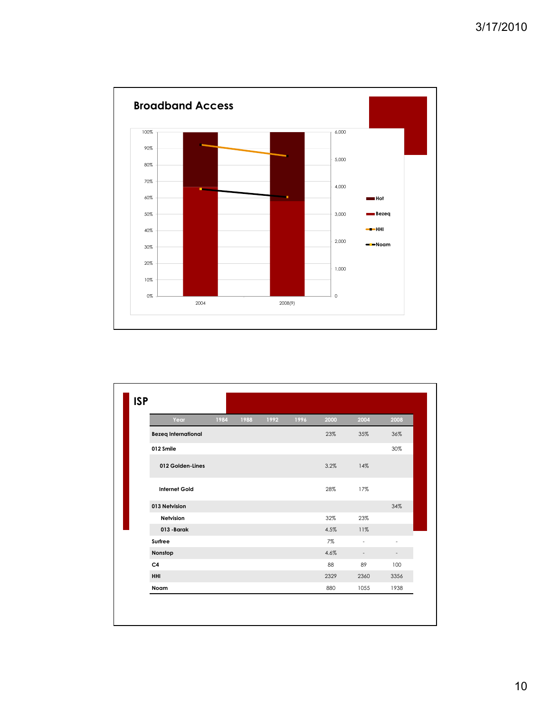

| Year                       | 1984 | 1988 | 1992 | 1996 | 2000 | 2004                     | 2008                     |
|----------------------------|------|------|------|------|------|--------------------------|--------------------------|
| <b>Bezeq International</b> |      |      |      |      | 23%  | 35%                      | 36%                      |
| 012 Smile                  |      |      |      |      |      |                          | 30%                      |
| 012 Golden-Lines           |      |      |      |      | 3.2% | 14%                      |                          |
| <b>Internet Gold</b>       |      |      |      |      | 28%  | 17%                      |                          |
| 013 Netvision              |      |      |      |      |      |                          | 34%                      |
| Netvision                  |      |      |      |      | 32%  | 23%                      |                          |
| 013 - Barak                |      |      |      |      | 4.5% | 11%                      |                          |
| Surfree                    |      |      |      |      | 7%   | $\blacksquare$           | $\overline{\phantom{a}}$ |
| Nonstop                    |      |      |      |      | 4.6% | $\overline{\phantom{a}}$ |                          |
| C <sub>4</sub>             |      |      |      |      | 88   | 89                       | 100                      |
| HHI                        |      |      |      |      | 2329 | 2360                     | 3356                     |
| Noam                       |      |      |      |      | 880  | 1055                     | 1938                     |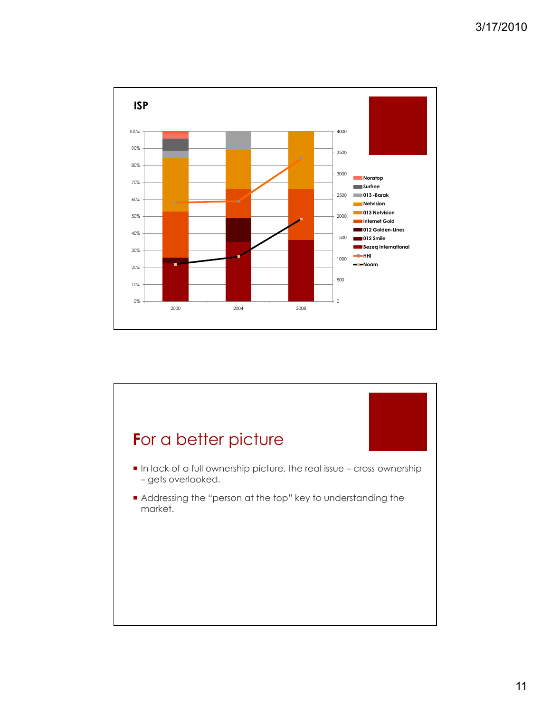![](_page_10_Figure_1.jpeg)

![](_page_10_Figure_2.jpeg)